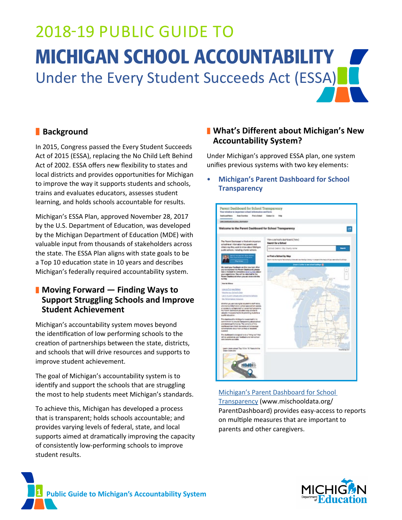# 2018-19 PUBLIC GUIDE TO MICHIGAN SCHOOL ACCOUNTABILITY Under the Every Student Succeeds Act (ESSA)

# **Background**

In 2015, Congress passed the Every Student Succeeds Act of 2015 (ESSA), replacing the No Child Left Behind Act of 2002. ESSA offers new flexibility to states and local districts and provides opportunities for Michigan to improve the way it supports students and schools, trains and evaluates educators, assesses student learning, and holds schools accountable for results.

Michigan's ESSA Plan, approved November 28, 2017 by the U.S. Department of Education, was developed by the Michigan Department of Education (MDE) with valuable input from thousands of stakeholders across the state. The ESSA Plan aligns with state goals to be a Top 10 education state in 10 years and describes Michigan's federally required accountability system.

# ❚ **Moving Forward — Finding Ways to Support Struggling Schools and Improve Student Achievement**

Michigan's accountability system moves beyond the identification of low performing schools to the creation of partnerships between the state, districts, and schools that will drive resources and supports to improve student achievement.

The goal of Michigan's accountability system is to identify and support the schools that are struggling the most to help students meet Michigan's standards.

To achieve this, Michigan has developed a process that is transparent; holds schools accountable; and provides varying levels of federal, state, and local supports aimed at dramatically improving the capacity of consistently low-performing schools to improve student results.

# ❚ **What's Different about Michigan's New Accountability System?**

Under Michigan's approved ESSA plan, one system unifies previous systems with two key elements:

# • **Michigan's Parent Dashboard for School Transparency**



## [Michigan's Parent Dashboard for School](http://www.mischooldata.org/ParentDashboard)  [Transparency](http://www.mischooldata.org/ParentDashboard) [\(www.mischooldata.org/](http://www.mischooldata.org/ParentDashboard) [ParentDashboard](http://www.mischooldata.org/ParentDashboard)) provides easy-access to reports on multiple measures that are important to parents and other caregivers.



**1 Public Guide to Michigan's Accountability System**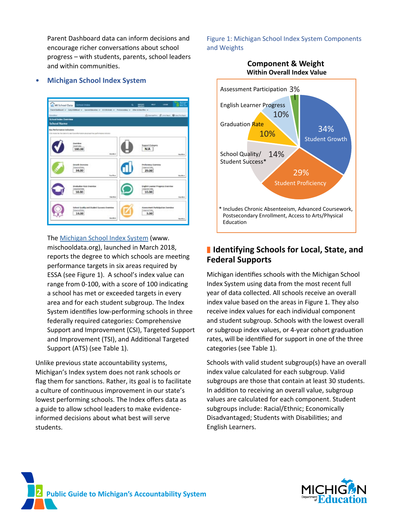Parent Dashboard data can inform decisions and encourage richer conversations about school progress – with students, parents, school leaders and within communities.

#### • **Michigan School Index System**



#### The [Michigan School Index System](http://www.mischooldata.org) ([www.](http://www.mischooldata.org)

[mischooldata.org\)](http://www.mischooldata.org), launched in March 2018, reports the degree to which schools are meeting performance targets in six areas required by ESSA (see Figure 1). A school's index value can range from 0-100, with a score of 100 indicating a school has met or exceeded targets in every area and for each student subgroup. The Index System identifies low-performing schools in three federally required categories: Comprehensive Support and Improvement (CSI), Targeted Support and Improvement (TSI), and Additional Targeted Support (ATS) (see Table 1).

Unlike previous state accountability systems, Michigan's Index system does not rank schools or flag them for sanctions. Rather, its goal is to facilitate a culture of continuous improvement in our state's lowest performing schools. The Index offers data as a guide to allow school leaders to make evidenceinformed decisions about what best will serve students.

#### Figure 1: Michigan School Index System Components and Weights



# ■ Identifying Schools for Local, State, and **Federal Supports**

Michigan identifies schools with the Michigan School Index System using data from the most recent full year of data collected. All schools receive an overall index value based on the areas in Figure 1. They also receive index values for each individual component and student subgroup. Schools with the lowest overall or subgroup index values, or 4-year cohort graduation rates, will be identified for support in one of the three categories (see Table 1).

Schools with valid student subgroup(s) have an overall index value calculated for each subgroup. Valid subgroups are those that contain at least 30 students. In addition to receiving an overall value, subgroup values are calculated for each component. Student subgroups include: Racial/Ethnic; Economically Disadvantaged; Students with Disabilities; and English Learners.



**2 Public Guide to Michigan's Accountability System**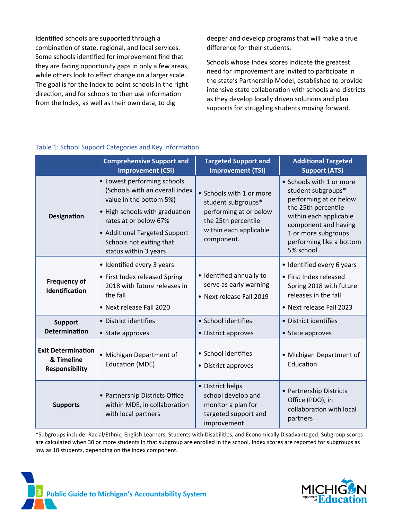Identified schools are supported through a combination of state, regional, and local services. Some schools identified for improvement find that they are facing opportunity gaps in only a few areas, while others look to effect change on a larger scale. The goal is for the Index to point schools in the right direction, and for schools to then use information from the Index, as well as their own data, to dig

deeper and develop programs that will make a true difference for their students.

Schools whose Index scores indicate the greatest need for improvement are invited to participate in the state's Partnership Model, established to provide intensive state collaboration with schools and districts as they develop locally driven solutions and plan supports for struggling students moving forward.

|                                                                  | <b>Comprehensive Support and</b><br><b>Improvement (CSI)</b>                                                                                                                                                                              | <b>Targeted Support and</b><br><b>Improvement (TSI)</b>                                                                                 | <b>Additional Targeted</b><br><b>Support (ATS)</b>                                                                                                                                                                 |
|------------------------------------------------------------------|-------------------------------------------------------------------------------------------------------------------------------------------------------------------------------------------------------------------------------------------|-----------------------------------------------------------------------------------------------------------------------------------------|--------------------------------------------------------------------------------------------------------------------------------------------------------------------------------------------------------------------|
| <b>Designation</b>                                               | • Lowest performing schools<br>(Schools with an overall index<br>value in the bottom 5%)<br>• High schools with graduation<br>rates at or below 67%<br>• Additional Targeted Support<br>Schools not exiting that<br>status within 3 years | • Schools with 1 or more<br>student subgroups*<br>performing at or below<br>the 25th percentile<br>within each applicable<br>component. | • Schools with 1 or more<br>student subgroups*<br>performing at or below<br>the 25th percentile<br>within each applicable<br>component and having<br>1 or more subgroups<br>performing like a bottom<br>5% school. |
| <b>Frequency of</b><br>Identification                            | • Identified every 3 years<br>• First Index released Spring<br>2018 with future releases in<br>the fall<br>• Next release Fall 2020                                                                                                       | · Identified annually to<br>serve as early warning<br>• Next release Fall 2019                                                          | • Identified every 6 years<br>• First Index released<br>Spring 2018 with future<br>releases in the fall<br>• Next release Fall 2023                                                                                |
| <b>Support</b><br><b>Determination</b>                           | • District identifies<br>• State approves                                                                                                                                                                                                 | • School identifies<br>• District approves                                                                                              | • District identifies<br>• State approves                                                                                                                                                                          |
| <b>Exit Determination</b><br>& Timeline<br><b>Responsibility</b> | · Michigan Department of<br><b>Education (MDE)</b>                                                                                                                                                                                        | • School identifies<br>• District approves                                                                                              | • Michigan Department of<br>Education                                                                                                                                                                              |
| <b>Supports</b>                                                  | • Partnership Districts Office<br>within MDE, in collaboration<br>with local partners                                                                                                                                                     | • District helps<br>school develop and<br>monitor a plan for<br>targeted support and<br>improvement                                     | • Partnership Districts<br>Office (PDO), in<br>collaboration with local<br>partners                                                                                                                                |

#### Table 1: School Support Categories and Key Information

\*Subgroups include: Racial/Ethnic, English Learners, Students with Disabilities, and Economically Disadvantaged. Subgroup scores are calculated when 30 or more students in that subgroup are enrolled in the school. Index scores are reported for subgroups as low as 10 students, depending on the index component.



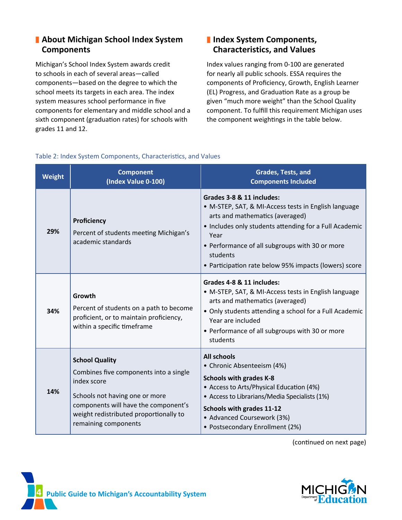# ■ About Michigan School Index System **Components**

Michigan's School Index System awards credit to schools in each of several areas—called components—based on the degree to which the school meets its targets in each area. The index system measures school performance in five components for elementary and middle school and a sixth component (graduation rates) for schools with grades 11 and 12.

# ■ Index System Components, **Characteristics, and Values**

Index values ranging from 0-100 are generated for nearly all public schools. ESSA requires the components of Proficiency, Growth, English Learner (EL) Progress, and Graduation Rate as a group be given "much more weight" than the School Quality component. To fulfill this requirement Michigan uses the component weightings in the table below.

| <b>Weight</b> | <b>Component</b><br>(Index Value 0-100)                                                                                                                                                                                    | Grades, Tests, and<br><b>Components Included</b>                                                                                                                                                                                                                                                              |  |
|---------------|----------------------------------------------------------------------------------------------------------------------------------------------------------------------------------------------------------------------------|---------------------------------------------------------------------------------------------------------------------------------------------------------------------------------------------------------------------------------------------------------------------------------------------------------------|--|
| 29%           | Proficiency<br>Percent of students meeting Michigan's<br>academic standards                                                                                                                                                | Grades 3-8 & 11 includes:<br>• M-STEP, SAT, & MI-Access tests in English language<br>arts and mathematics (averaged)<br>• Includes only students attending for a Full Academic<br>Year<br>• Performance of all subgroups with 30 or more<br>students<br>• Participation rate below 95% impacts (lowers) score |  |
| 34%           | Growth<br>Percent of students on a path to become<br>proficient, or to maintain proficiency,<br>within a specific timeframe                                                                                                | Grades 4-8 & 11 includes:<br>• M-STEP, SAT, & MI-Access tests in English language<br>arts and mathematics (averaged)<br>• Only students attending a school for a Full Academic<br>Year are included<br>• Performance of all subgroups with 30 or more<br>students                                             |  |
| 14%           | <b>School Quality</b><br>Combines five components into a single<br>index score<br>Schools not having one or more<br>components will have the component's<br>weight redistributed proportionally to<br>remaining components | <b>All schools</b><br>• Chronic Absenteeism (4%)<br><b>Schools with grades K-8</b><br>• Access to Arts/Physical Education (4%)<br>• Access to Librarians/Media Specialists (1%)<br><b>Schools with grades 11-12</b><br>• Advanced Coursework (3%)<br>• Postsecondary Enrollment (2%)                          |  |

# Table 2: Index System Components, Characteristics, and Values

(continued on next page)



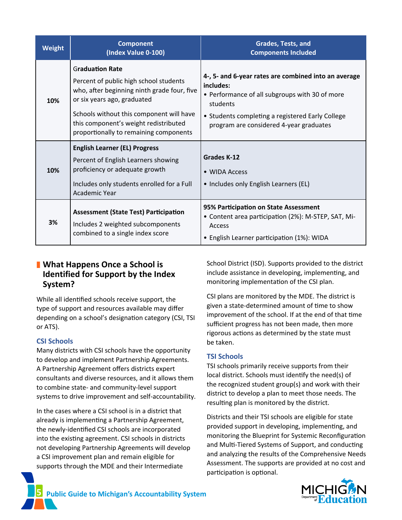| Weight | <b>Component</b><br>(Index Value 0-100)                                                                                                                                                                                                                                       | Grades, Tests, and<br><b>Components Included</b>                                                                                                                                                                               |
|--------|-------------------------------------------------------------------------------------------------------------------------------------------------------------------------------------------------------------------------------------------------------------------------------|--------------------------------------------------------------------------------------------------------------------------------------------------------------------------------------------------------------------------------|
| 10%    | <b>Graduation Rate</b><br>Percent of public high school students<br>who, after beginning ninth grade four, five<br>or six years ago, graduated<br>Schools without this component will have<br>this component's weight redistributed<br>proportionally to remaining components | 4-, 5- and 6-year rates are combined into an average<br>includes:<br>• Performance of all subgroups with 30 of more<br>students<br>• Students completing a registered Early College<br>program are considered 4-year graduates |
| 10%    | <b>English Learner (EL) Progress</b><br>Percent of English Learners showing<br>proficiency or adequate growth<br>Includes only students enrolled for a Full<br>Academic Year                                                                                                  | <b>Grades K-12</b><br>• WIDA Access<br>• Includes only English Learners (EL)                                                                                                                                                   |
| 3%     | <b>Assessment (State Test) Participation</b><br>Includes 2 weighted subcomponents<br>combined to a single index score                                                                                                                                                         | 95% Participation on State Assessment<br>• Content area participation (2%): M-STEP, SAT, Mi-<br>Access<br>• English Learner participation (1%): WIDA                                                                           |

# ■ What Happens Once a School is **Identified for Support by the Index System?**

While all identified schools receive support, the type of support and resources available may differ depending on a school's designation category (CSI, TSI or ATS).

## **CSI Schools**

Many districts with CSI schools have the opportunity to develop and implement Partnership Agreements. A Partnership Agreement offers districts expert consultants and diverse resources, and it allows them to combine state- and community-level support systems to drive improvement and self-accountability.

In the cases where a CSI school is in a district that already is implementing a Partnership Agreement, the newly-identified CSI schools are incorporated into the existing agreement. CSI schools in districts not developing Partnership Agreements will develop a CSI improvement plan and remain eligible for supports through the MDE and their Intermediate

School District (ISD). Supports provided to the district include assistance in developing, implementing, and monitoring implementation of the CSI plan.

CSI plans are monitored by the MDE. The district is given a state-determined amount of time to show improvement of the school. If at the end of that time sufficient progress has not been made, then more rigorous actions as determined by the state must be taken.

## **TSI Schools**

TSI schools primarily receive supports from their local district. Schools must identify the need(s) of the recognized student group(s) and work with their district to develop a plan to meet those needs. The resulting plan is monitored by the district.

Districts and their TSI schools are eligible for state provided support in developing, implementing, and monitoring the Blueprint for Systemic Reconfiguration and Multi-Tiered Systems of Support, and conducting and analyzing the results of the Comprehensive Needs Assessment. The supports are provided at no cost and participation is optional.



**5 Public Guide to Michigan's Accountability System**